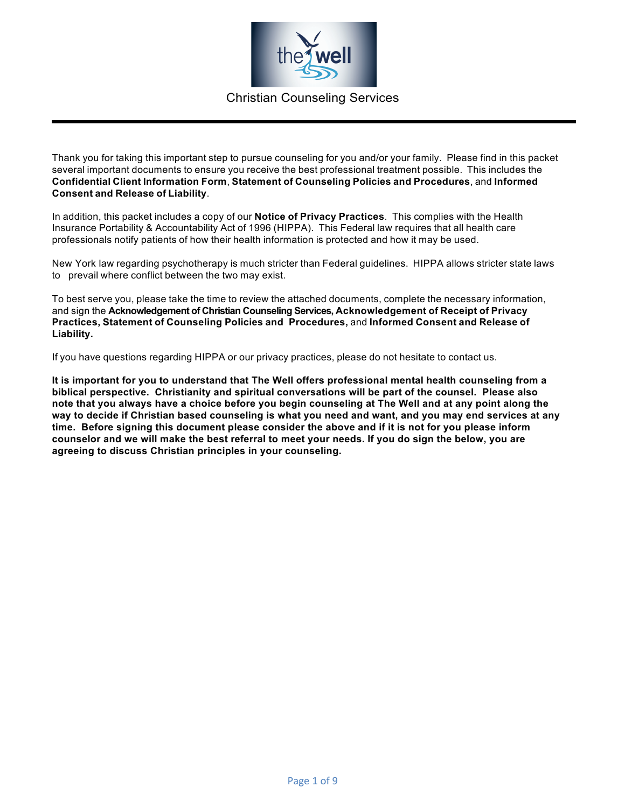

Thank you for taking this important step to pursue counseling for you and/or your family. Please find in this packet several important documents to ensure you receive the best professional treatment possible. This includes the **Confidential Client Information Form**, **Statement of Counseling Policies and Procedures**, and **Informed Consent and Release of Liability**.

In addition, this packet includes a copy of our **Notice of Privacy Practices**. This complies with the Health Insurance Portability & Accountability Act of 1996 (HIPPA). This Federal law requires that all health care professionals notify patients of how their health information is protected and how it may be used.

New York law regarding psychotherapy is much stricter than Federal guidelines. HIPPA allows stricter state laws to prevail where conflict between the two may exist.

To best serve you, please take the time to review the attached documents, complete the necessary information, and sign the **Acknowledgement of Christian Counseling Services, Acknowledgement of Receipt of Privacy Practices, Statement of Counseling Policies and Procedures,** and **Informed Consent and Release of Liability.**

If you have questions regarding HIPPA or our privacy practices, please do not hesitate to contact us.

**It is important for you to understand that The Well offers professional mental health counseling from a biblical perspective. Christianity and spiritual conversations will be part of the counsel. Please also note that you always have a choice before you begin counseling at The Well and at any point along the way to decide if Christian based counseling is what you need and want, and you may end services at any time. Before signing this document please consider the above and if it is not for you please inform counselor and we will make the best referral to meet your needs. If you do sign the below, you are agreeing to discuss Christian principles in your counseling.**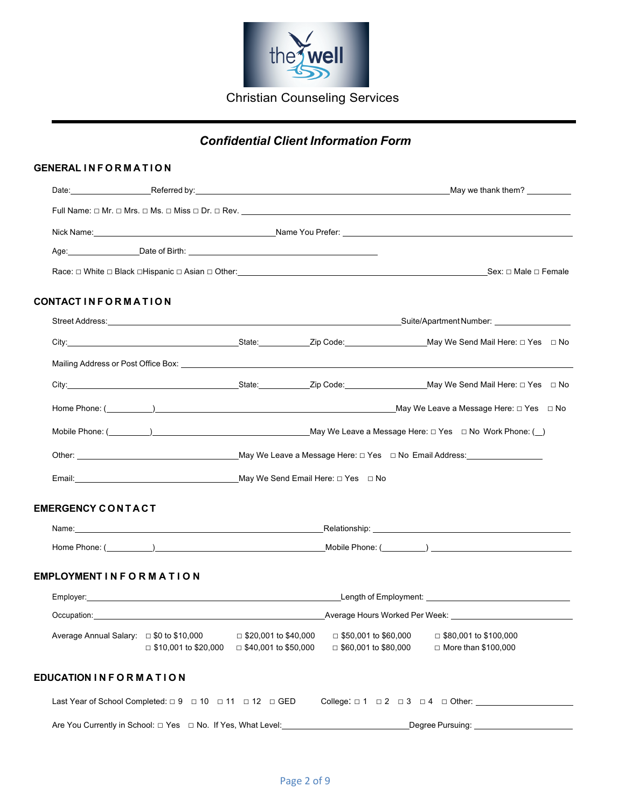

## *Confidential Client Information Form*

#### **GENERAL INFORMATION**

| CONTACTINFORMATION             |                                                                                  |                                                                                                                |                                                                                                                                                                                                                                |
|--------------------------------|----------------------------------------------------------------------------------|----------------------------------------------------------------------------------------------------------------|--------------------------------------------------------------------------------------------------------------------------------------------------------------------------------------------------------------------------------|
|                                |                                                                                  |                                                                                                                |                                                                                                                                                                                                                                |
|                                |                                                                                  |                                                                                                                |                                                                                                                                                                                                                                |
|                                |                                                                                  |                                                                                                                |                                                                                                                                                                                                                                |
|                                |                                                                                  |                                                                                                                |                                                                                                                                                                                                                                |
|                                |                                                                                  |                                                                                                                |                                                                                                                                                                                                                                |
|                                |                                                                                  |                                                                                                                |                                                                                                                                                                                                                                |
|                                |                                                                                  |                                                                                                                |                                                                                                                                                                                                                                |
|                                |                                                                                  |                                                                                                                |                                                                                                                                                                                                                                |
| <b>EMERGENCY CONTACT</b>       |                                                                                  |                                                                                                                |                                                                                                                                                                                                                                |
|                                |                                                                                  |                                                                                                                | Name: Name and the set of the set of the set of the set of the set of the set of the set of the set of the set of the set of the set of the set of the set of the set of the set of the set of the set of the set of the set o |
|                                |                                                                                  |                                                                                                                |                                                                                                                                                                                                                                |
| <b>EMPLOYMENT IN FORMATION</b> |                                                                                  |                                                                                                                |                                                                                                                                                                                                                                |
|                                |                                                                                  |                                                                                                                |                                                                                                                                                                                                                                |
|                                |                                                                                  |                                                                                                                |                                                                                                                                                                                                                                |
|                                |                                                                                  | $\Box$ \$10,001 to \$20,000 $\Box$ \$40,001 to \$50,000 $\Box$ \$60,001 to \$80,000 $\Box$ More than \$100,000 | Average Annual Salary: □ \$0 to \$10,000 = \$20,001 to \$40,000 = \$50,001 to \$60,000 = \$80,001 to \$100,000                                                                                                                 |
| <b>EDUCATION IN FORMATION</b>  |                                                                                  |                                                                                                                |                                                                                                                                                                                                                                |
|                                | Last Year of School Completed: $\Box 9$ $\Box 10$ $\Box 11$ $\Box 12$ $\Box$ GED |                                                                                                                | College: $\Box$ 1 $\Box$ 2 $\Box$ 3 $\Box$ 4 $\Box$ Other:                                                                                                                                                                     |
|                                | Are You Currently in School: $\Box$ Yes $\Box$ No. If Yes, What Level: _____     |                                                                                                                | Degree Pursuing: ______________                                                                                                                                                                                                |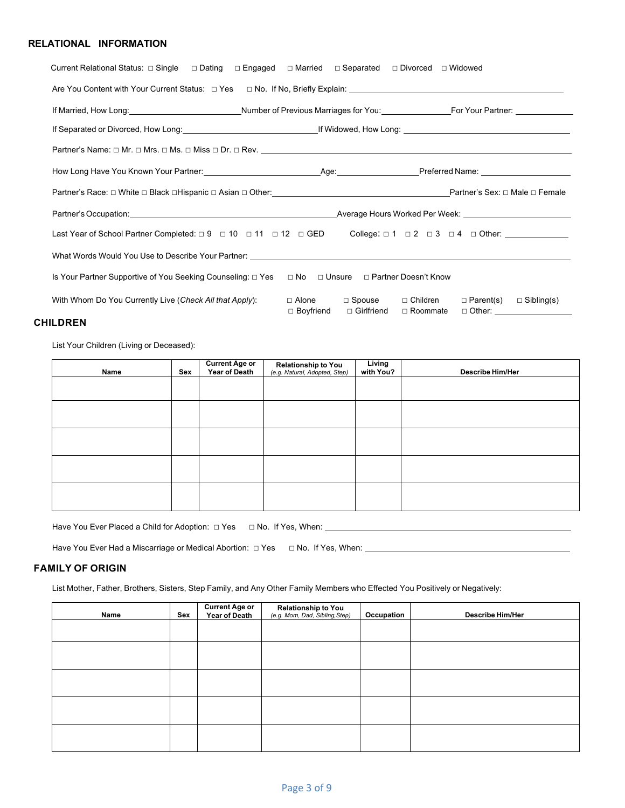#### **RELATIONAL INFORMATION**

| Current Relational Status: □ Single □ Dating □ Engaged □ Married □ Separated □ Divorced □ Widowed                                                                                                                                |                                                         |                                                                                      |
|----------------------------------------------------------------------------------------------------------------------------------------------------------------------------------------------------------------------------------|---------------------------------------------------------|--------------------------------------------------------------------------------------|
|                                                                                                                                                                                                                                  |                                                         |                                                                                      |
| If Married, How Long:<br>Mumber of Previous Marriages for You: France Contract Provious Marriages for You: France Contract Provious Partner: The Married, How Long: University of Previous Marriages for You: University Partner |                                                         |                                                                                      |
| If Separated or Divorced, How Long: example and the set of the set of the set of the set of the set of the set of the set of the set of the set of the set of the set of the set of the set of the set of the set of the set o   |                                                         |                                                                                      |
|                                                                                                                                                                                                                                  |                                                         |                                                                                      |
|                                                                                                                                                                                                                                  |                                                         |                                                                                      |
|                                                                                                                                                                                                                                  |                                                         |                                                                                      |
|                                                                                                                                                                                                                                  |                                                         |                                                                                      |
| Last Year of School Partner Completed: $\Box 9$ $\Box 10$ $\Box 11$ $\Box 12$ $\Box$ GED College: $\Box 1$ $\Box 2$ $\Box 3$ $\Box 4$ $\Box$ Other:                                                                              |                                                         |                                                                                      |
| What Words Would You Use to Describe Your Partner: Learning Communication of the Communication of the Communication of the Communication of the Communication of the Communication of the Communication of the Communication o   |                                                         |                                                                                      |
| Is Your Partner Supportive of You Seeking Counseling: □ Yes □ No □ Unsure □ Partner Doesn't Know                                                                                                                                 |                                                         |                                                                                      |
| With Whom Do You Currently Live (Check All that Apply):                                                                                                                                                                          | □ Alone □ Spouse □ Children<br>□ Boyfriend □ Girlfriend | $\Box$ Parent(s) $\Box$ Sibling(s)<br>$\Box$ Roommate<br>□ Other: __________________ |

#### **CHILDREN**

List Your Children (Living or Deceased):

| Name | Sex | <b>Current Age or</b><br>Year of Death | Relationship to You<br>(e.g. Natural, Adopted, Step) | Living<br>with You? | <b>Describe Him/Her</b> |
|------|-----|----------------------------------------|------------------------------------------------------|---------------------|-------------------------|
|      |     |                                        |                                                      |                     |                         |
|      |     |                                        |                                                      |                     |                         |
|      |     |                                        |                                                      |                     |                         |
|      |     |                                        |                                                      |                     |                         |
|      |     |                                        |                                                      |                     |                         |

Have You Ever Placed a Child for Adoption: □ Yes □ No. If Yes, When:

Have You Ever Had a Miscarriage or Medical Abortion: □ Yes □ No. If Yes, When: \_\_\_\_\_\_\_\_\_\_\_\_\_

#### **FAMILY OF ORIGIN**

List Mother, Father, Brothers, Sisters, Step Family, and Any Other Family Members who Effected You Positively or Negatively:

| Name | Sex | <b>Current Age or</b><br>Year of Death | <b>Relationship to You</b><br>(e.g. Mom, Dad, Sibling, Step) | Occupation | <b>Describe Him/Her</b> |
|------|-----|----------------------------------------|--------------------------------------------------------------|------------|-------------------------|
|      |     |                                        |                                                              |            |                         |
|      |     |                                        |                                                              |            |                         |
|      |     |                                        |                                                              |            |                         |
|      |     |                                        |                                                              |            |                         |
|      |     |                                        |                                                              |            |                         |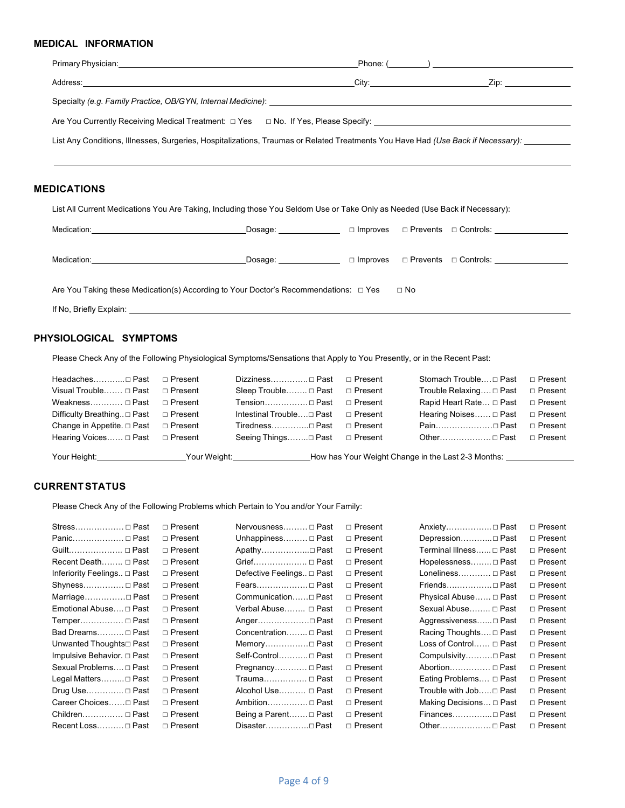#### **MEDICAL INFORMATION**

| Primary Physician: University of the Contract of the Contract of the Contract of the Contract of the Contract of the Contract of the Contract of the Contract of the Contract of the Contract of the Contract of the Contract | $\blacksquare$ Phone: $(\_\_)$ |
|-------------------------------------------------------------------------------------------------------------------------------------------------------------------------------------------------------------------------------|--------------------------------|
|                                                                                                                                                                                                                               |                                |
|                                                                                                                                                                                                                               |                                |
|                                                                                                                                                                                                                               |                                |
| List Any Conditions, Illnesses, Surgeries, Hospitalizations, Traumas or Related Treatments You Have Had (Use Back if Necessary):                                                                                              |                                |
|                                                                                                                                                                                                                               |                                |
|                                                                                                                                                                                                                               |                                |

#### **MEDICATIONS**

List All Current Medications You Are Taking, Including those You Seldom Use or Take Only as Needed (Use Back if Necessary):

| Medication:                                                                                                                                                                                                                    | Dosage:                                                                                                                                                                                                                        | $\Box$ Improves |           | □ Prevents □ Controls:                           |
|--------------------------------------------------------------------------------------------------------------------------------------------------------------------------------------------------------------------------------|--------------------------------------------------------------------------------------------------------------------------------------------------------------------------------------------------------------------------------|-----------------|-----------|--------------------------------------------------|
| Medication: the contract of the contract of the contract of the contract of the contract of the contract of the contract of the contract of the contract of the contract of the contract of the contract of the contract of th | Dosage: the contract of the contract of the contract of the contract of the contract of the contract of the contract of the contract of the contract of the contract of the contract of the contract of the contract of the co |                 |           | $\Box$ Improves $\Box$ Prevents $\Box$ Controls: |
| Are You Taking these Medication(s) According to Your Doctor's Recommendations: $\Box$ Yes                                                                                                                                      |                                                                                                                                                                                                                                |                 | $\Box$ No |                                                  |
|                                                                                                                                                                                                                                |                                                                                                                                                                                                                                |                 |           |                                                  |

#### **PHYSIOLOGICAL SYMPTOMS**

Please Check Any of the Following Physiological Symptoms/Sensations that Apply to You Presently, or in the Recent Past:

| Headaches□ Past □ Present                                                        | Dizziness Past □ Present           | Stomach Trouble□ Past □ Present                                    |           |
|----------------------------------------------------------------------------------|------------------------------------|--------------------------------------------------------------------|-----------|
| Visual Trouble □ Past □ Present                                                  | Sleep Trouble □ Past □ Present     | Trouble Relaxing□ Past                                             | □ Present |
| Weakness $\Box$ Past $\Box$ Present                                              | Tension□ Past □ Present            | Rapid Heart Rate $\Box$ Past $\Box$ Present                        |           |
| Difficulty Breathing □ Past □ Present                                            | Intestinal Trouble□ Past □ Present | Hearing Noises □ Past □ Present                                    |           |
| Change in Appetite. $\Box$ Past $\Box$ Present                                   | Tiredness□ Past □ Present          | Pain□ Past                                                         | □ Present |
| Hearing Voices □ Past □ Present                                                  | Seeing Things□ Past □ Present      | Other□ Past □ Present                                              |           |
| Your Height:__________________________Your Weight:______________________________ |                                    | How has Your Weight Change in the Last 2-3 Months: _______________ |           |

#### **CURRENTSTATUS**

Please Check Any of the Following Problems which Pertain to You and/or Your Family:

| Stress □ Past               | $\sqcap$ Present | Nervousness □ Past        | $\sqcap$ Present | Anxiety □ Past          | $\Box$ Present |
|-----------------------------|------------------|---------------------------|------------------|-------------------------|----------------|
| Panic □ Past                | $\Box$ Present   | Unhappiness □ Past        | □ Present        | Depression□ Past        | $\Box$ Present |
| Guilt □ Past                | $\Box$ Present   | Apathy□ Past              | □ Present        | Terminal Illness □ Past | $\Box$ Present |
| Recent Death □ Past         | $\Box$ Present   | Grief □ Past              | □ Present        | Hopelessness □ Past     | □ Present      |
| Inferiority Feelings □ Past | $\Box$ Present   | Defective Feelings □ Past | □ Present        | Loneliness □ Past       | $\Box$ Present |
| Shyness □ Past              | □ Present        | Fears Past                | □ Present        | Friends□ Past           | □ Present      |
| Marriage□ Past              | □ Present        | Communication□ Past       | □ Present        | Physical Abuse □ Past   | $\Box$ Present |
| Emotional Abuse□ Past       | $\Box$ Present   | Verbal Abuse □ Past       | □ Present        | Sexual Abuse □ Past     | $\Box$ Present |
| Temper □ Past               | □ Present        | Anger□ Past               | □ Present        | Aggressiveness□ Past    | □ Present      |
| Bad Dreams □ Past           | $\Box$ Present   | Concentration □ Past      | □ Present        | Racing Thoughts □ Past  | $\Box$ Present |
| Unwanted Thoughts□ Past     | □ Present        | Memory□ Past              | □ Present        | Loss of Control □ Past  | □ Present      |
| Impulsive Behavior. □ Past  | $\Box$ Present   | Self-Control Past         | □ Present        | Compulsivity□ Past      | □ Present      |
| Sexual Problems □ Past      | $\Box$ Present   | Pregnancy □ Past          | □ Present        | Abortion □ Past         | $\Box$ Present |
| Legal Matters□ Past         | $\Box$ Present   |                           | □ Present        | Eating Problems □ Past  | □ Present      |
| Drug Use $\Box$ Past        | □ Present        | Alcohol Use □ Past        | □ Present        | Trouble with Job□ Past  | $\Box$ Present |
| Career Choices□ Past        | $\sqcap$ Present | Ambition□ Past            | $\sqcap$ Present | Making Decisions □ Past | $\Box$ Present |
| Children □ Past             | $\sqcap$ Present | Being a Parent□ Past      | □ Present        | Finances ⊓ Past         | $\Box$ Present |
| Recent Loss □ Past          | $\Box$ Present   | Disaster□ Past            | $\sqcap$ Present | Other□ Past             | $\Box$ Present |
|                             |                  |                           |                  |                         |                |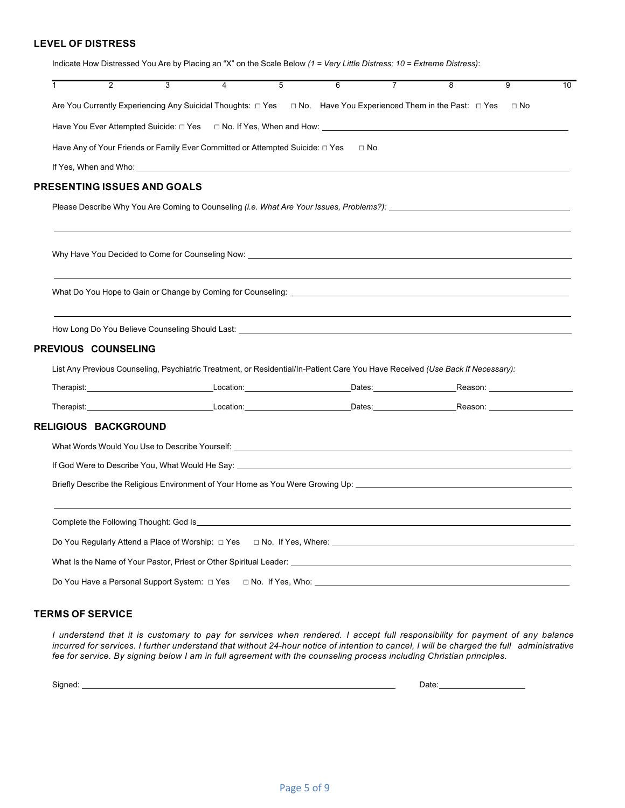#### **LEVEL OF DISTRESS**

| $\overline{2}$              | $\overline{3}$<br>$\overline{4}$                                                                                                                                                                                              | $\overline{5}$ | $\overline{6}$ | $\overline{7}$ | $\overline{8}$ | $\overline{9}$ | 10 |
|-----------------------------|-------------------------------------------------------------------------------------------------------------------------------------------------------------------------------------------------------------------------------|----------------|----------------|----------------|----------------|----------------|----|
|                             | Are You Currently Experiencing Any Suicidal Thoughts: □ Yes □ No. Have You Experienced Them in the Past: □ Yes                                                                                                                |                |                |                |                | $\Box$ No      |    |
|                             | Have You Ever Attempted Suicide: □ Yes   □ No. If Yes, When and How:                                                                                                                                                          |                |                |                |                |                |    |
|                             | Have Any of Your Friends or Family Ever Committed or Attempted Suicide: $\Box$ Yes                                                                                                                                            |                | $\sqcap$ No    |                |                |                |    |
|                             |                                                                                                                                                                                                                               |                |                |                |                |                |    |
| PRESENTING ISSUES AND GOALS |                                                                                                                                                                                                                               |                |                |                |                |                |    |
|                             | Please Describe Why You Are Coming to Counseling (i.e. What Are Your Issues, Problems?): _____________________                                                                                                                |                |                |                |                |                |    |
|                             | Why Have You Decided to Come for Counseling Now: Network Control and Control of the Control of the Control of Control of the Counseling Now:                                                                                  |                |                |                |                |                |    |
|                             |                                                                                                                                                                                                                               |                |                |                |                |                |    |
|                             |                                                                                                                                                                                                                               |                |                |                |                |                |    |
| <b>PREVIOUS COUNSELING</b>  |                                                                                                                                                                                                                               |                |                |                |                |                |    |
|                             | List Any Previous Counseling, Psychiatric Treatment, or Residential/In-Patient Care You Have Received (Use Back If Necessary):                                                                                                |                |                |                |                |                |    |
|                             | Therapist:                Location:             Dates:          Reason:                                                                                                                                                       |                |                |                |                |                |    |
|                             |                                                                                                                                                                                                                               |                |                |                |                |                |    |
|                             |                                                                                                                                                                                                                               |                |                |                |                |                |    |
|                             |                                                                                                                                                                                                                               |                |                |                |                |                |    |
|                             |                                                                                                                                                                                                                               |                |                |                |                |                |    |
| <b>RELIGIOUS BACKGROUND</b> | If God Were to Describe You, What Would He Say: Network Contract the Contract of the Contract of the Contract of the Contract of the Contract of the Contract of the Contract of the Contract of the Contract of the Contract |                |                |                |                |                |    |
|                             | Briefly Describe the Religious Environment of Your Home as You Were Growing Up: 1000000000000000000000000000000                                                                                                               |                |                |                |                |                |    |
|                             |                                                                                                                                                                                                                               |                |                |                |                |                |    |
|                             |                                                                                                                                                                                                                               |                |                |                |                |                |    |
|                             |                                                                                                                                                                                                                               |                |                |                |                |                |    |

#### **TERMS OF SERVICE**

I understand that it is customary to pay for services when rendered. I accept full responsibility for payment of any balance incurred for services. I further understand that without 24-hour notice of intention to cancel, I will be charged the full administrative *fee for service. By signing below I am in full agreement with the counseling process including Christian principles.* 

Signed: <u>National Communications of the Signed:</u> Date: Date: Date: Date: Date: 2014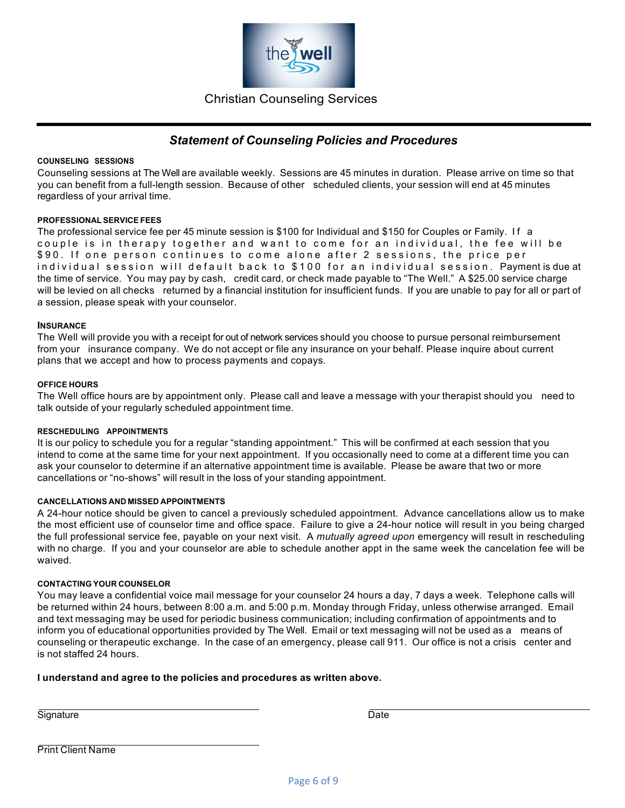

### *Statement of Counseling Policies and Procedures*

#### **COUNSELING SESSIONS**

Counseling sessions at The Well are available weekly. Sessions are 45 minutes in duration. Please arrive on time so that you can benefit from a full-length session. Because of other scheduled clients, your session will end at 45 minutes regardless of your arrival time.

#### **PROFESSIONALSERVICE FEES**

The professional service fee per 45 minute session is \$100 for Individual and \$150 for Couples or Family. If a couple is in therapy together and want to come for an individual, the fee will be \$ 9 0 . If one person continues to come alone after 2 sessions, the price per individual session will default back to \$ 100 for an individual session. Payment is due at the time of service. You may pay by cash, credit card, or check made payable to "The Well." A \$25.00 service charge will be levied on all checks returned by a financial institution for insufficient funds. If you are unable to pay for all or part of a session, please speak with your counselor.

#### **INSURANCE**

The Well will provide you with a receipt for out of network services should you choose to pursue personal reimbursement from your insurance company. We do not accept or file any insurance on your behalf. Please inquire about current plans that we accept and how to process payments and copays.

#### **OFFICE HOURS**

The Well office hours are by appointment only. Please call and leave a message with your therapist should you need to talk outside of your regularly scheduled appointment time.

#### **RESCHEDULING APPOINTMENTS**

It is our policy to schedule you for a regular "standing appointment." This will be confirmed at each session that you intend to come at the same time for your next appointment. If you occasionally need to come at a different time you can ask your counselor to determine if an alternative appointment time is available. Please be aware that two or more cancellations or "no-shows" will result in the loss of your standing appointment.

#### **CANCELLATIONS AND MISSED APPOINTMENTS**

A 24-hour notice should be given to cancel a previously scheduled appointment. Advance cancellations allow us to make the most efficient use of counselor time and office space. Failure to give a 24-hour notice will result in you being charged the full professional service fee, payable on your next visit. A *mutually agreed upon* emergency will result in rescheduling with no charge. If you and your counselor are able to schedule another appt in the same week the cancelation fee will be waived.

#### **CONTACTING YOUR COUNSELOR**

You may leave a confidential voice mail message for your counselor 24 hours a day, 7 days a week. Telephone calls will be returned within 24 hours, between 8:00 a.m. and 5:00 p.m. Monday through Friday, unless otherwise arranged. Email and text messaging may be used for periodic business communication; including confirmation of appointments and to inform you of educational opportunities provided by The Well. Email or text messaging will not be used as a means of counseling or therapeutic exchange. In the case of an emergency, please call 911. Our office is not a crisis center and is not staffed 24 hours.

#### **I understand and agree to the policies and procedures as written above.**

Signature Date

Print Client Name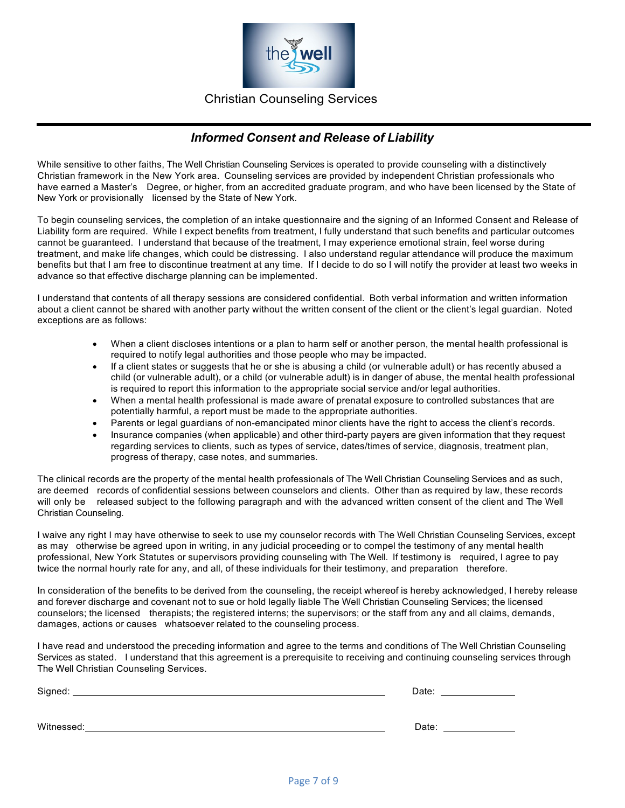

### *Informed Consent and Release of Liability*

While sensitive to other faiths, The Well Christian Counseling Services is operated to provide counseling with a distinctively Christian framework in the New York area. Counseling services are provided by independent Christian professionals who have earned a Master's Degree, or higher, from an accredited graduate program, and who have been licensed by the State of New York or provisionally licensed by the State of New York.

To begin counseling services, the completion of an intake questionnaire and the signing of an Informed Consent and Release of Liability form are required. While I expect benefits from treatment, I fully understand that such benefits and particular outcomes cannot be guaranteed. I understand that because of the treatment, I may experience emotional strain, feel worse during treatment, and make life changes, which could be distressing. I also understand regular attendance will produce the maximum benefits but that I am free to discontinue treatment at any time. If I decide to do so I will notify the provider at least two weeks in advance so that effective discharge planning can be implemented.

I understand that contents of all therapy sessions are considered confidential. Both verbal information and written information about a client cannot be shared with another party without the written consent of the client or the client's legal guardian. Noted exceptions are as follows:

- When a client discloses intentions or a plan to harm self or another person, the mental health professional is required to notify legal authorities and those people who may be impacted.
- If a client states or suggests that he or she is abusing a child (or vulnerable adult) or has recently abused a child (or vulnerable adult), or a child (or vulnerable adult) is in danger of abuse, the mental health professional is required to report this information to the appropriate social service and/or legal authorities.
- When a mental health professional is made aware of prenatal exposure to controlled substances that are potentially harmful, a report must be made to the appropriate authorities.
- Parents or legal guardians of non-emancipated minor clients have the right to access the client's records.
- Insurance companies (when applicable) and other third-party payers are given information that they request regarding services to clients, such as types of service, dates/times of service, diagnosis, treatment plan, progress of therapy, case notes, and summaries.

The clinical records are the property of the mental health professionals of The Well Christian Counseling Services and as such, are deemed records of confidential sessions between counselors and clients. Other than as required by law, these records will only be released subject to the following paragraph and with the advanced written consent of the client and The Well Christian Counseling.

I waive any right I may have otherwise to seek to use my counselor records with The Well Christian Counseling Services, except as may otherwise be agreed upon in writing, in any judicial proceeding or to compel the testimony of any mental health professional, New York Statutes or supervisors providing counseling with The Well. If testimony is required, I agree to pay twice the normal hourly rate for any, and all, of these individuals for their testimony, and preparation therefore.

In consideration of the benefits to be derived from the counseling, the receipt whereof is hereby acknowledged, I hereby release and forever discharge and covenant not to sue or hold legally liable The Well Christian Counseling Services; the licensed counselors; the licensed therapists; the registered interns; the supervisors; or the staff from any and all claims, demands, damages, actions or causes whatsoever related to the counseling process.

I have read and understood the preceding information and agree to the terms and conditions of The Well Christian Counseling Services as stated. I understand that this agreement is a prerequisite to receiving and continuing counseling services through The Well Christian Counseling Services.

| Signed:    | Date: |
|------------|-------|
|            |       |
| Witnessed: | Date: |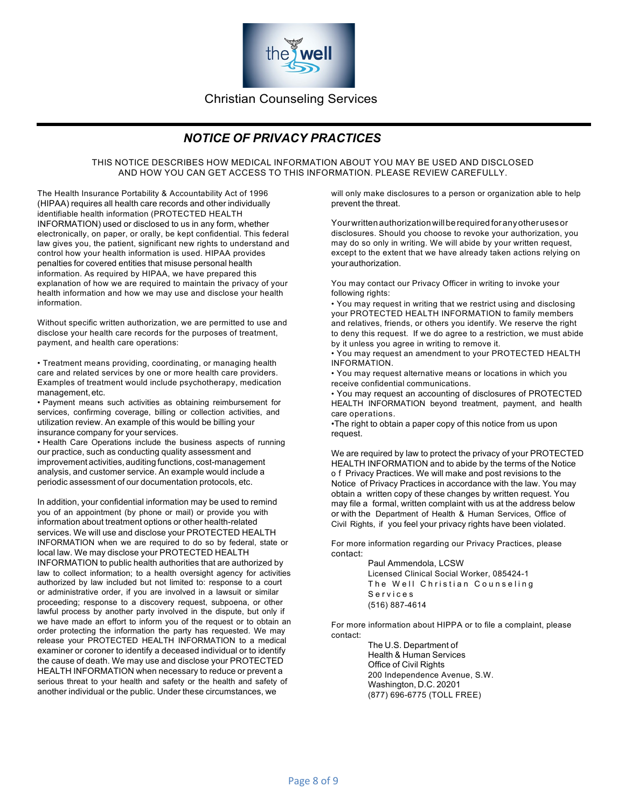

## *NOTICE OF PRIVACY PRACTICES*

THIS NOTICE DESCRIBES HOW MEDICAL INFORMATION ABOUT YOU MAY BE USED AND DISCLOSED AND HOW YOU CAN GET ACCESS TO THIS INFORMATION. PLEASE REVIEW CAREFULLY.

The Health Insurance Portability & Accountability Act of 1996 (HIPAA) requires all health care records and other individually identifiable health information (PROTECTED HEALTH INFORMATION) used or disclosed to us in any form, whether electronically, on paper, or orally, be kept confidential. This federal law gives you, the patient, significant new rights to understand and control how your health information is used. HIPAA provides penalties for covered entities that misuse personal health information. As required by HIPAA, we have prepared this explanation of how we are required to maintain the privacy of your health information and how we may use and disclose your health information.

Without specific written authorization, we are permitted to use and disclose your health care records for the purposes of treatment, payment, and health care operations:

• Treatment means providing, coordinating, or managing health care and related services by one or more health care providers. Examples of treatment would include psychotherapy, medication management, etc.

• Payment means such activities as obtaining reimbursement for services, confirming coverage, billing or collection activities, and utilization review. An example of this would be billing your insurance company for your services.

• Health Care Operations include the business aspects of running our practice, such as conducting quality assessment and improvement activities, auditing functions, cost-management analysis, and customer service. An example would include a periodic assessment of our documentation protocols, etc.

In addition, your confidential information may be used to remind you of an appointment (by phone or mail) or provide you with information about treatment options or other health-related services. We will use and disclose your PROTECTED HEALTH INFORMATION when we are required to do so by federal, state or local law. We may disclose your PROTECTED HEALTH INFORMATION to public health authorities that are authorized by law to collect information; to a health oversight agency for activities authorized by law included but not limited to: response to a court or administrative order, if you are involved in a lawsuit or similar proceeding; response to a discovery request, subpoena, or other lawful process by another party involved in the dispute, but only if we have made an effort to inform you of the request or to obtain an order protecting the information the party has requested. We may release your PROTECTED HEALTH INFORMATION to a medical examiner or coroner to identify a deceased individual or to identify the cause of death. We may use and disclose your PROTECTED HEALTH INFORMATION when necessary to reduce or prevent a serious threat to your health and safety or the health and safety of another individual or the public. Under these circumstances, we

will only make disclosures to a person or organization able to help prevent the threat.

Yourwrittenauthorization willbe required foranyotherusesor disclosures. Should you choose to revoke your authorization, you may do so only in writing. We will abide by your written request, except to the extent that we have already taken actions relying on yourauthorization.

You may contact our Privacy Officer in writing to invoke your following rights:

• You may request in writing that we restrict using and disclosing your PROTECTED HEALTH INFORMATION to family members and relatives, friends, or others you identify. We reserve the right to deny this request. If we do agree to a restriction, we must abide by it unless you agree in writing to remove it.

• You may request an amendment to your PROTECTED HEALTH INFORMATION.

• You may request alternative means or locations in which you receive confidential communications.

• You may request an accounting of disclosures of PROTECTED HEALTH INFORMATION beyond treatment, payment, and health care operations.

•The right to obtain a paper copy of this notice from us upon request.

We are required by law to protect the privacy of your PROTECTED HEALTH INFORMATION and to abide by the terms of the Notice o f Privacy Practices. We will make and post revisions to the Notice of Privacy Practices in accordance with the law. You may obtain a written copy of these changes by written request. You may file a formal, written complaint with us at the address below or with the Department of Health & Human Services, Office of Civil Rights, if you feel your privacy rights have been violated.

For more information regarding our Privacy Practices, please contact:

Paul Ammendola, LCSW Licensed Clinical Social Worker, 085424-1 The Well Christian Counseling Services (516) 887-4614

For more information about HIPPA or to file a complaint, please contact:

> The U.S. Department of Health & Human Services Office of Civil Rights 200 Independence Avenue, S.W. Washington, D.C. 20201 (877) 696-6775 (TOLL FREE)